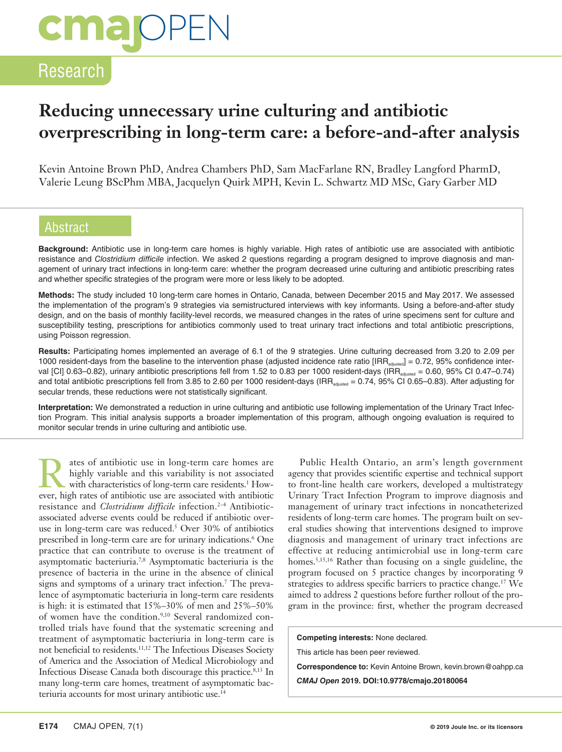# **cma** OPEN

### Research

### **Reducing unnecessary urine culturing and antibiotic overprescribing in long-term care: a before-and-after analysis**

Kevin Antoine Brown PhD, Andrea Chambers PhD, Sam MacFarlane RN, Bradley Langford PharmD, Valerie Leung BScPhm MBA, Jacquelyn Quirk MPH, Kevin L. Schwartz MD MSc, Gary Garber MD

#### Abstract

**Background:** Antibiotic use in long-term care homes is highly variable. High rates of antibiotic use are associated with antibiotic resistance and *Clostridium difficile* infection. We asked 2 questions regarding a program designed to improve diagnosis and management of urinary tract infections in long-term care: whether the program decreased urine culturing and antibiotic prescribing rates and whether specific strategies of the program were more or less likely to be adopted.

**Methods:** The study included 10 long-term care homes in Ontario, Canada, between December 2015 and May 2017. We assessed the implementation of the program's 9 strategies via semistructured interviews with key informants. Using a before-and-after study design, and on the basis of monthly facility-level records, we measured changes in the rates of urine specimens sent for culture and susceptibility testing, prescriptions for antibiotics commonly used to treat urinary tract infections and total antibiotic prescriptions, using Poisson regression.

**Results:** Participating homes implemented an average of 6.1 of the 9 strategies. Urine culturing decreased from 3.20 to 2.09 per 1000 resident-days from the baseline to the intervention phase (adjusted incidence rate ratio [IRR<sub>adjusted</sub>] = 0.72, 95% confidence interval [CI] 0.63–0.82), urinary antibiotic prescriptions fell from 1.52 to 0.83 per 1000 resident-days (IRR<sub>adusted</sub> = 0.60, 95% CI 0.47–0.74) and total antibiotic prescriptions fell from 3.85 to 2.60 per 1000 resident-days (IRR<sub>adiusted</sub> = 0.74, 95% CI 0.65–0.83). After adjusting for secular trends, these reductions were not statistically significant.

**Interpretation:** We demonstrated a reduction in urine culturing and antibiotic use following implementation of the Urinary Tract Infection Program. This initial analysis supports a broader implementation of this program, although ongoing evaluation is required to monitor secular trends in urine culturing and antibiotic use.

The state of antibiotic use in long-term care homes are highly variable and this variability is not associated with characteristics of long-term care residents.<sup>1</sup> Howhighly variable and this variability is not associated ever, high rates of antibiotic use are associated with antibiotic resistance and *Clostridium difficile* infection.<sup>2-4</sup> Antibioticassociated adverse events could be reduced if antibiotic overuse in long-term care was reduced.<sup>5</sup> Over 30% of antibiotics prescribed in long-term care are for urinary indications.6 One practice that can contribute to overuse is the treatment of asymptomatic bacteriuria.7,8 Asymptomatic bacteriuria is the presence of bacteria in the urine in the absence of clinical signs and symptoms of a urinary tract infection.<sup>7</sup> The prevalence of asymptomatic bacteriuria in long-term care residents is high: it is estimated that 15%–30% of men and 25%–50% of women have the condition.<sup>9,10</sup> Several randomized controlled trials have found that the systematic screening and treatment of asymptomatic bacteriuria in long-term care is not beneficial to residents.11,12 The Infectious Diseases Society of America and the Association of Medical Microbiology and Infectious Disease Canada both discourage this practice.8,13 In many long-term care homes, treatment of asymptomatic bacteriuria accounts for most urinary antibiotic use.14

Public Health Ontario, an arm's length government agency that provides scientific expertise and technical support to front-line health care workers, developed a multistrategy Urinary Tract Infection Program to improve diagnosis and management of urinary tract infections in noncatheterized residents of long-term care homes. The program built on several studies showing that interventions designed to improve diagnosis and management of urinary tract infections are effective at reducing antimicrobial use in long-term care homes.<sup>5,15,16</sup> Rather than focusing on a single guideline, the program focused on 5 practice changes by incorporating 9 strategies to address specific barriers to practice change.17 We aimed to address 2 questions before further rollout of the program in the province: first, whether the program decreased

**Competing interests:** None declared.

This article has been peer reviewed.

**Correspondence to:** Kevin Antoine Brown, kevin.brown@oahpp.ca

*CMAJ Open* **2019. DOI:10.9778/cmajo.20180064**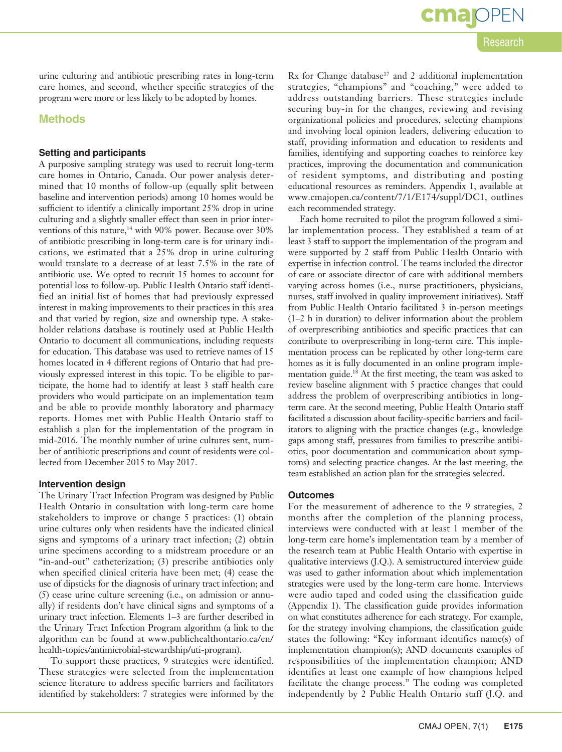**OPEN** 

#### Research

urine culturing and antibiotic prescribing rates in long-term care homes, and second, whether specific strategies of the program were more or less likely to be adopted by homes.

#### **Methods**

#### **Setting and participants**

A purposive sampling strategy was used to recruit long-term care homes in Ontario, Canada. Our power analysis determined that 10 months of follow-up (equally split between baseline and intervention periods) among 10 homes would be sufficient to identify a clinically important 25% drop in urine culturing and a slightly smaller effect than seen in prior interventions of this nature,<sup>14</sup> with 90% power. Because over 30% of antibiotic prescribing in long-term care is for urinary indications, we estimated that a 25% drop in urine culturing would translate to a decrease of at least 7.5% in the rate of antibiotic use. We opted to recruit 15 homes to account for potential loss to follow-up. Public Health Ontario staff identified an initial list of homes that had previously expressed interest in making improvements to their practices in this area and that varied by region, size and ownership type. A stakeholder relations database is routinely used at Public Health Ontario to document all communications, including requests for education. This database was used to retrieve names of 15 homes located in 4 different regions of Ontario that had previously expressed interest in this topic. To be eligible to participate, the home had to identify at least 3 staff health care providers who would participate on an implementation team and be able to provide monthly laboratory and pharmacy reports. Homes met with Public Health Ontario staff to establish a plan for the implementation of the program in mid-2016. The monthly number of urine cultures sent, number of antibiotic prescriptions and count of residents were collected from December 2015 to May 2017.

#### **Intervention design**

The Urinary Tract Infection Program was designed by Public Health Ontario in consultation with long-term care home stakeholders to improve or change 5 practices: (1) obtain urine cultures only when residents have the indicated clinical signs and symptoms of a urinary tract infection; (2) obtain urine specimens according to a midstream procedure or an "in-and-out" catheterization; (3) prescribe antibiotics only when specified clinical criteria have been met; (4) cease the use of dipsticks for the diagnosis of urinary tract infection; and (5) cease urine culture screening (i.e., on admission or annually) if residents don't have clinical signs and symptoms of a urinary tract infection. Elements 1–3 are further described in the Urinary Tract Infection Program algorithm (a link to the algorithm can be found at www.publichealthontario.ca/en/ health-topics/antimicrobial-stewardship/uti-program).

To support these practices, 9 strategies were identified. These strategies were selected from the implementation science literature to address specific barriers and facilitators identified by stakeholders: 7 strategies were informed by the  $Rx$  for Change database<sup>17</sup> and 2 additional implementation strategies, "champions" and "coaching," were added to address outstanding barriers. These strategies include securing buy-in for the changes, reviewing and revising organizational policies and procedures, selecting champions and involving local opinion leaders, delivering education to staff, providing information and education to residents and families, identifying and supporting coaches to reinforce key practices, improving the documentation and communication of resident symptoms, and distributing and posting educational resources as reminders. Appendix 1, available at www.cmajopen.ca/content/7/1/E174/suppl/DC1, outlines each recommended strategy.

Each home recruited to pilot the program followed a similar implementation process. They established a team of at least 3 staff to support the implementation of the program and were supported by 2 staff from Public Health Ontario with expertise in infection control. The teams included the director of care or associate director of care with additional members varying across homes (i.e., nurse practitioners, physicians, nurses, staff involved in quality improvement initiatives). Staff from Public Health Ontario facilitated 3 in-person meetings (1–2 h in duration) to deliver information about the problem of overprescribing antibiotics and specific practices that can contribute to overprescribing in long-term care. This implementation process can be replicated by other long-term care homes as it is fully documented in an online program implementation guide.18 At the first meeting, the team was asked to review baseline alignment with 5 practice changes that could address the problem of overprescribing antibiotics in longterm care. At the second meeting, Public Health Ontario staff facilitated a discussion about facility-specific barriers and facilitators to aligning with the practice changes (e.g., knowledge gaps among staff, pressures from families to prescribe antibiotics, poor documentation and communication about symptoms) and selecting practice changes. At the last meeting, the team established an action plan for the strategies selected.

#### **Outcomes**

For the measurement of adherence to the 9 strategies, 2 months after the completion of the planning process, interviews were conducted with at least 1 member of the long-term care home's implementation team by a member of the research team at Public Health Ontario with expertise in qualitative interviews (J.Q.). A semistructured interview guide was used to gather information about which implementation strategies were used by the long-term care home. Interviews were audio taped and coded using the classification guide (Appendix 1). The classification guide provides information on what constitutes adherence for each strategy. For example, for the strategy involving champions, the classification guide states the following: "Key informant identifies name(s) of implementation champion(s); AND documents examples of responsibilities of the implementation champion; AND identifies at least one example of how champions helped facilitate the change process." The coding was completed independently by 2 Public Health Ontario staff (J.Q. and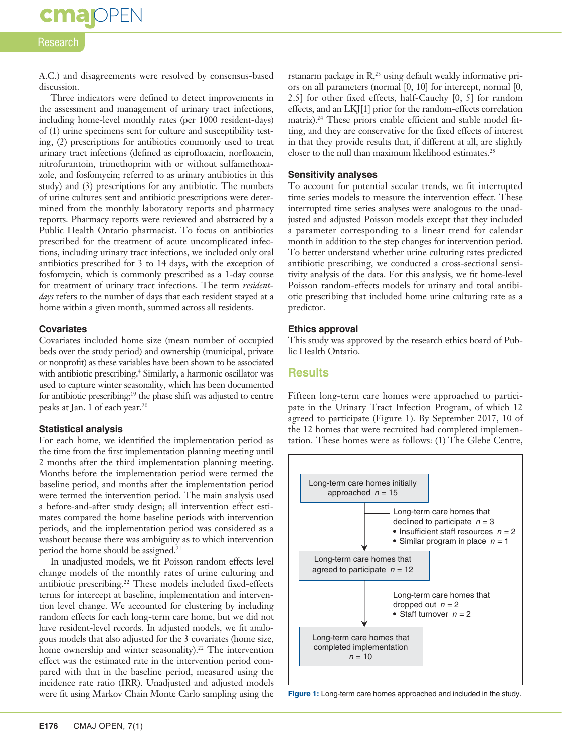### **cma** OPEN

#### Research

A.C.) and disagreements were resolved by consensus-based discussion.

Three indicators were defined to detect improvements in the assessment and management of urinary tract infections, including home-level monthly rates (per 1000 resident-days) of (1) urine specimens sent for culture and susceptibility testing, (2) prescriptions for antibiotics commonly used to treat urinary tract infections (defined as ciprofloxacin, norfloxacin, nitrofurantoin, trimethoprim with or without sulfamethoxazole, and fosfomycin; referred to as urinary antibiotics in this study) and (3) prescriptions for any antibiotic. The numbers of urine cultures sent and antibiotic prescriptions were determined from the monthly laboratory reports and pharmacy reports. Pharmacy reports were reviewed and abstracted by a Public Health Ontario pharmacist. To focus on antibiotics prescribed for the treatment of acute uncomplicated infections, including urinary tract infections, we included only oral antibiotics prescribed for 3 to 14 days, with the exception of fosfomycin, which is commonly prescribed as a 1-day course for treatment of urinary tract infections. The term *residentdays* refers to the number of days that each resident stayed at a home within a given month, summed across all residents.

#### **Covariates**

Covariates included home size (mean number of occupied beds over the study period) and ownership (municipal, private or nonprofit) as these variables have been shown to be associated with antibiotic prescribing.<sup>4</sup> Similarly, a harmonic oscillator was used to capture winter seasonality, which has been documented for antibiotic prescribing;<sup>19</sup> the phase shift was adjusted to centre peaks at Jan. 1 of each year.<sup>20</sup>

#### **Statistical analysis**

For each home, we identified the implementation period as the time from the first implementation planning meeting until 2 months after the third implementation planning meeting. Months before the implementation period were termed the baseline period, and months after the implementation period were termed the intervention period. The main analysis used a before-and-after study design; all intervention effect estimates compared the home baseline periods with intervention periods, and the implementation period was considered as a washout because there was ambiguity as to which intervention period the home should be assigned.<sup>21</sup>

In unadjusted models, we fit Poisson random effects level change models of the monthly rates of urine culturing and antibiotic prescribing.<sup>22</sup> These models included fixed-effects terms for intercept at baseline, implementation and intervention level change. We accounted for clustering by including random effects for each long-term care home, but we did not have resident-level records. In adjusted models, we fit analogous models that also adjusted for the 3 covariates (home size, home ownership and winter seasonality).<sup>22</sup> The intervention effect was the estimated rate in the intervention period compared with that in the baseline period, measured using the incidence rate ratio (IRR). Unadjusted and adjusted models were fit using Markov Chain Monte Carlo sampling using the rstanarm package in  $R<sub>1</sub><sup>23</sup>$  using default weakly informative priors on all parameters (normal [0, 10] for intercept, normal [0, 2.5] for other fixed effects, half-Cauchy [0, 5] for random effects, and an LKJ[1] prior for the random-effects correlation matrix).<sup>24</sup> These priors enable efficient and stable model fitting, and they are conservative for the fixed effects of interest in that they provide results that, if different at all, are slightly closer to the null than maximum likelihood estimates.<sup>25</sup>

#### **Sensitivity analyses**

To account for potential secular trends, we fit interrupted time series models to measure the intervention effect. These interrupted time series analyses were analogous to the unadjusted and adjusted Poisson models except that they included a parameter corresponding to a linear trend for calendar month in addition to the step changes for intervention period. To better understand whether urine culturing rates predicted antibiotic prescribing, we conducted a cross-sectional sensitivity analysis of the data. For this analysis, we fit home-level Poisson random-effects models for urinary and total antibiotic prescribing that included home urine culturing rate as a predictor.

#### **Ethics approval**

This study was approved by the research ethics board of Public Health Ontario.

#### **Results**

Fifteen long-term care homes were approached to participate in the Urinary Tract Infection Program, of which 12 agreed to participate (Figure 1). By September 2017, 10 of the 12 homes that were recruited had completed implementation. These homes were as follows: (1) The Glebe Centre,



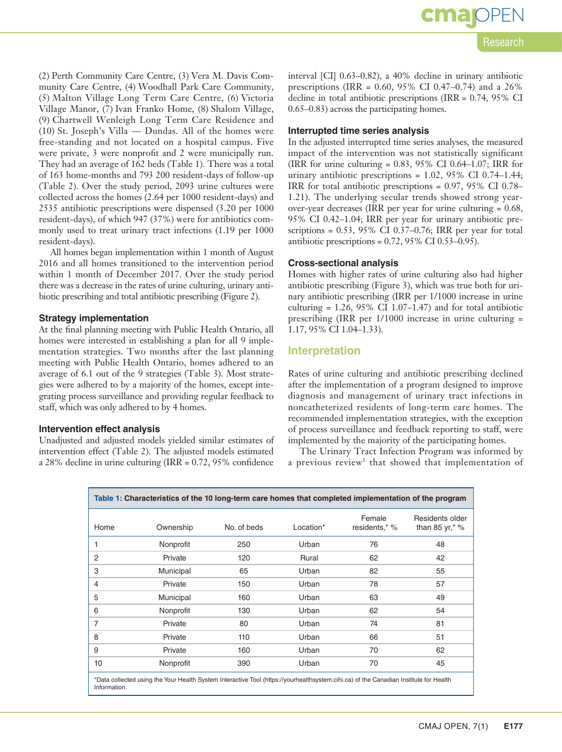(2) Perth Community Care Centre, (3) Vera M. Davis Community Care Centre, (4) Woodhall Park Care Community, (5) Malton Village Long Term Care Centre, (6) Victoria Village Manor, (7) Ivan Franko Home, (8) Shalom Village, (9) Chartwell Wenleigh Long Term Care Residence and (10) St. Joseph's Villa — Dundas. All of the homes were free-standing and not located on a hospital campus. Five were private, 3 were nonprofit and 2 were municipally run. They had an average of 162 beds (Table 1). There was a total of 163 home-months and 793 200 resident-days of follow-up (Table 2). Over the study period, 2093 urine cultures were collected across the homes (2.64 per 1000 resident-days) and 2535 antibiotic prescriptions were dispensed (3.20 per 1000 resident-days), of which 947 (37%) were for antibiotics commonly used to treat urinary tract infections (1.19 per 1000 resident-days).

All homes began implementation within 1 month of August 2016 and all homes transitioned to the intervention period within 1 month of December 2017. Over the study period there was a decrease in the rates of urine culturing, urinary antibiotic prescribing and total antibiotic prescribing (Figure 2).

#### **Strategy implementation**

At the final planning meeting with Public Health Ontario, all homes were interested in establishing a plan for all 9 implementation strategies. Two months after the last planning meeting with Public Health Ontario, homes adhered to an average of 6.1 out of the 9 strategies (Table 3). Most strategies were adhered to by a majority of the homes, except integrating process surveillance and providing regular feedback to staff, which was only adhered to by 4 homes.

#### **Intervention effect analysis**

Unadjusted and adjusted models yielded similar estimates of intervention effect (Table 2). The adjusted models estimated a 28% decline in urine culturing (IRR = 0.72, 95% confidence **OPEN** 

interval [CI] 0.63–0.82), a 40% decline in urinary antibiotic prescriptions (IRR = 0.60, 95% CI 0.47–0.74) and a 26% decline in total antibiotic prescriptions (IRR = 0.74, 95% CI 0.65–0.83) across the participating homes.

#### **Interrupted time series analysis**

In the adjusted interrupted time series analyses, the measured impact of the intervention was not statistically significant (IRR for urine culturing = 0.83, 95% CI 0.64–1.07; IRR for urinary antibiotic prescriptions = 1.02, 95% CI 0.74–1.44; IRR for total antibiotic prescriptions = 0.97, 95% CI 0.78– 1.21). The underlying secular trends showed strong yearover-year decreases (IRR per year for urine culturing = 0.68, 95% CI 0.42–1.04; IRR per year for urinary antibiotic prescriptions =  $0.53$ ,  $95\%$  CI  $0.37-0.76$ ; IRR per year for total antibiotic prescriptions =  $0.72$ ,  $95\%$  CI  $0.53-0.95$ ).

#### **Cross-sectional analysis**

Homes with higher rates of urine culturing also had higher antibiotic prescribing (Figure 3), which was true both for urinary antibiotic prescribing (IRR per 1/1000 increase in urine culturing  $= 1.26, 95\%$  CI 1.07-1.47) and for total antibiotic prescribing (IRR per 1/1000 increase in urine culturing = 1.17, 95% CI 1.04–1.33).

#### **Interpretation**

Rates of urine culturing and antibiotic prescribing declined after the implementation of a program designed to improve diagnosis and management of urinary tract infections in noncatheterized residents of long-term care homes. The recommended implementation strategies, with the exception of process surveillance and feedback reporting to staff, were implemented by the majority of the participating homes.

The Urinary Tract Infection Program was informed by a previous review<sup>5</sup> that showed that implementation of

| Table 1: Characteristics of the 10 long-term care homes that completed implementation of the program                                                 |           |             |           |                         |                                   |  |  |  |  |  |
|------------------------------------------------------------------------------------------------------------------------------------------------------|-----------|-------------|-----------|-------------------------|-----------------------------------|--|--|--|--|--|
| Home                                                                                                                                                 | Ownership | No. of beds | Location* | Female<br>residents,* % | Residents older<br>than 85 yr,* % |  |  |  |  |  |
|                                                                                                                                                      | Nonprofit | 250         | Urban     | 76                      | 48                                |  |  |  |  |  |
| 2                                                                                                                                                    | Private   | 120         | Rural     | 62                      | 42                                |  |  |  |  |  |
| 3                                                                                                                                                    | Municipal | 65          | Urban     | 82                      | 55                                |  |  |  |  |  |
| 4                                                                                                                                                    | Private   | 150         | Urban     | 78                      | 57                                |  |  |  |  |  |
| 5                                                                                                                                                    | Municipal | 160         | Urban     | 63                      | 49                                |  |  |  |  |  |
| 6                                                                                                                                                    | Nonprofit | 130         | Urban     | 62                      | 54                                |  |  |  |  |  |
| 7                                                                                                                                                    | Private   | 80          | Urban     | 74                      | 81                                |  |  |  |  |  |
| 8                                                                                                                                                    | Private   | 110         | Urban     | 66                      | 51                                |  |  |  |  |  |
| 9                                                                                                                                                    | Private   | 160         | Urban     | 70                      | 62                                |  |  |  |  |  |
| 10                                                                                                                                                   | Nonprofit | 390         | Urban     | 70                      | 45                                |  |  |  |  |  |
| *Data collected using the Your Health System Interactive Tool (https://yourhealthsystem.cihi.ca) of the Canadian Institute for Health<br>Information |           |             |           |                         |                                   |  |  |  |  |  |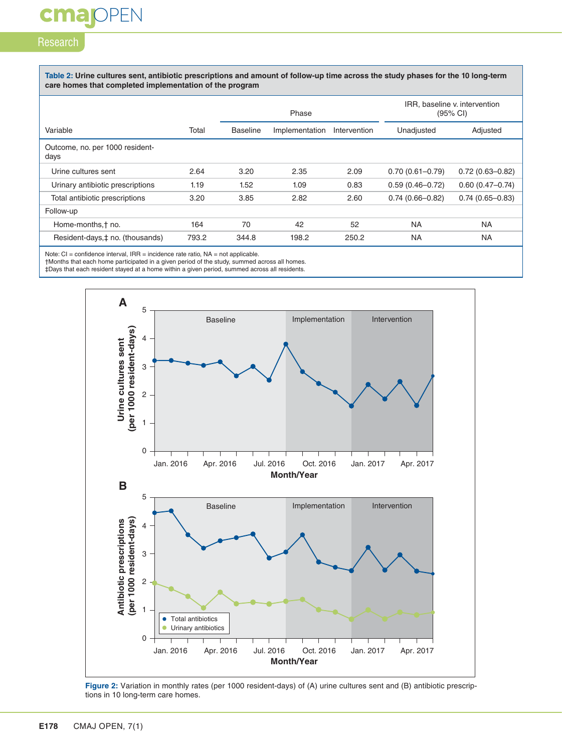### FN

#### **Research**

#### **Table 2: Urine cultures sent, antibiotic prescriptions and amount of follow-up time across the study phases for the 10 long-term care homes that completed implementation of the program**

|                                         |       | Phase           |                |              | IRR, baseline v. intervention<br>(95% CI) |                     |
|-----------------------------------------|-------|-----------------|----------------|--------------|-------------------------------------------|---------------------|
| Variable                                | Total | <b>Baseline</b> | Implementation | Intervention | Unadjusted                                | Adjusted            |
| Outcome, no. per 1000 resident-<br>days |       |                 |                |              |                                           |                     |
| Urine cultures sent                     | 2.64  | 3.20            | 2.35           | 2.09         | $0.70(0.61 - 0.79)$                       | $0.72(0.63 - 0.82)$ |
| Urinary antibiotic prescriptions        | 1.19  | 1.52            | 1.09           | 0.83         | $0.59(0.46 - 0.72)$                       | $0.60(0.47 - 0.74)$ |
| Total antibiotic prescriptions          | 3.20  | 3.85            | 2.82           | 2.60         | $0.74(0.66 - 0.82)$                       | $0.74(0.65 - 0.83)$ |
| Follow-up                               |       |                 |                |              |                                           |                     |
| Home-months, † no.                      | 164   | 70              | 42             | 52           | <b>NA</b>                                 | <b>NA</b>           |
| Resident-days, ‡ no. (thousands)        | 793.2 | 344.8           | 198.2          | 250.2        | <b>NA</b>                                 | <b>NA</b>           |

Note: CI = confidence interval, IRR = incidence rate ratio, NA = not applicable.<br>†Months that each home participated in a given period of the study, summed across all homes.<br>‡Days that each resident stayed at a home within



**Figure 2:** Variation in monthly rates (per 1000 resident-days) of (A) urine cultures sent and (B) antibiotic prescriptions in 10 long-term care homes.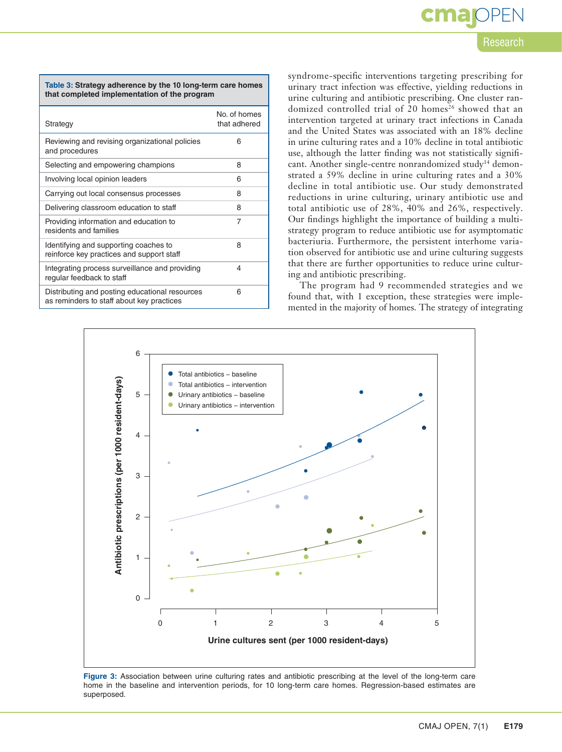#### CMAJ OPEN, 7(1) **E179**



**Table 3: Strategy adherence by the 10 long-term care homes that completed implementation of the program**

syndrome-specific interventions targeting prescribing for urinary tract infection was effective, yielding reductions in urine culturing and antibiotic prescribing. One cluster randomized controlled trial of 20 homes<sup>26</sup> showed that an intervention targeted at urinary tract infections in Canada and the United States was associated with an 18% decline in urine culturing rates and a 10% decline in total antibiotic use, although the latter finding was not statistically significant. Another single-centre nonrandomized study<sup>14</sup> demonstrated a 59% decline in urine culturing rates and a 30% decline in total antibiotic use. Our study demonstrated reductions in urine culturing, urinary antibiotic use and total antibiotic use of 28%, 40% and 26%, respectively. Our findings highlight the importance of building a multistrategy program to reduce antibiotic use for asymptomatic bacteriuria. Furthermore, the persistent interhome variation observed for antibiotic use and urine culturing suggests that there are further opportunities to reduce urine culturing and antibiotic prescribing.

The program had 9 recommended strategies and we found that, with 1 exception, these strategies were implemented in the majority of homes. The strategy of integrating



**Figure 3:** Association between urine culturing rates and antibiotic prescribing at the level of the long-term care home in the baseline and intervention periods, for 10 long-term care homes. Regression-based estimates are superposed.

## **OPEN**

#### Research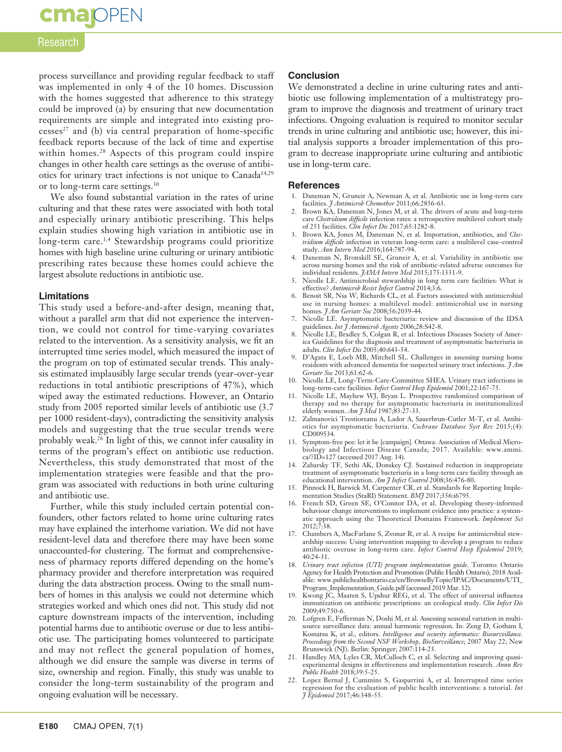### **cmajoPEN**

#### Research

process surveillance and providing regular feedback to staff was implemented in only 4 of the 10 homes. Discussion with the homes suggested that adherence to this strategy could be improved (a) by ensuring that new documentation requirements are simple and integrated into existing pro $cesses<sup>27</sup>$  and (b) via central preparation of home-specific feedback reports because of the lack of time and expertise within homes.<sup>28</sup> Aspects of this program could inspire changes in other health care settings as the overuse of antibiotics for urinary tract infections is not unique to Canada<sup>14,29</sup> or to long-term care settings.30

We also found substantial variation in the rates of urine culturing and that these rates were associated with both total and especially urinary antibiotic prescribing. This helps explain studies showing high variation in antibiotic use in long-term care.<sup>1,4</sup> Stewardship programs could prioritize homes with high baseline urine culturing or urinary antibiotic prescribing rates because these homes could achieve the largest absolute reductions in antibiotic use.

#### **Limitations**

This study used a before-and-after design, meaning that, without a parallel arm that did not experience the intervention, we could not control for time-varying covariates related to the intervention. As a sensitivity analysis, we fit an interrupted time series model, which measured the impact of the program on top of estimated secular trends. This analysis estimated implausibly large secular trends (year-over-year reductions in total antibiotic prescriptions of 47%), which wiped away the estimated reductions. However, an Ontario study from 2005 reported similar levels of antibiotic use (3.7 per 1000 resident-days), contradicting the sensitivity analysis models and suggesting that the true secular trends were probably weak.26 In light of this, we cannot infer causality in terms of the program's effect on antibiotic use reduction. Nevertheless, this study demonstrated that most of the implementation strategies were feasible and that the program was associated with reductions in both urine culturing and antibiotic use.

Further, while this study included certain potential confounders, other factors related to home urine culturing rates may have explained the interhome variation. We did not have resident-level data and therefore there may have been some unaccounted-for clustering. The format and comprehensiveness of pharmacy reports differed depending on the home's pharmacy provider and therefore interpretation was required during the data abstraction process. Owing to the small numbers of homes in this analysis we could not determine which strategies worked and which ones did not. This study did not capture downstream impacts of the intervention, including potential harms due to antibiotic overuse or due to less antibiotic use. The participating homes volunteered to participate and may not reflect the general population of homes, although we did ensure the sample was diverse in terms of size, ownership and region. Finally, this study was unable to consider the long-term sustainability of the program and ongoing evaluation will be necessary.

#### **Conclusion**

We demonstrated a decline in urine culturing rates and antibiotic use following implementation of a multistrategy program to improve the diagnosis and treatment of urinary tract infections. Ongoing evaluation is required to monitor secular trends in urine culturing and antibiotic use; however, this initial analysis supports a broader implementation of this program to decrease inappropriate urine culturing and antibiotic use in long-term care.

#### **References**

- 1. Daneman N, Gruneir A, Newman A, et al. Antibiotic use in long-term care facilities. *J Antimicrob Chemother* 2011;66:2856-63.
- 2. Brown KA, Daneman N, Jones M, et al. The drivers of acute and long-term care *Clostridium difficile* infection rates: a retrospective multilevel cohort study of 251 facilities. *Clin Infect Dis* 2017;65:1282-8.
- 3. Brown KA, Jones M, Daneman N, et al. Importation, antibiotics, and *Clostridium difficile* infection in veteran long-term care: a multilevel case–control study. *Ann Intern Med* 2016;164:787-94.
- 4. Daneman N, Bronskill SE, Gruneir A, et al. Variability in antibiotic use across nursing homes and the risk of antibiotic-related adverse outcomes for individual residents. *JAMA Intern Med* 2015;175:1331-9.
- 5. Nicolle LE. Antimicrobial stewardship in long term care facilities: What is effective? *Antimicrob Resist Infect Control* 2014;3:6.
- 6. Benoit SR, Nsa W, Richards CL, et al. Factors associated with antimicrobial use in nursing homes: a multilevel model: antimicrobial use in nursing homes. *J Am Geriatr Soc* 2008;56:2039-44.
- 7. Nicolle LE. Asymptomatic bacteriuria: review and discussion of the IDSA guidelines. *Int J Antimicrob Agents* 2006;28:S42-8. 8. Nicolle LE, Bradley S, Colgan R, et al. Infectious Diseases Society of Amer-
- ica Guidelines for the diagnosis and treatment of asymptomatic bacteriuria in adults. *Clin Infect Dis* 2005;40:643-54.
- 9. D'Agata E, Loeb MB, Mitchell SL. Challenges in assessing nursing home residents with advanced dementia for suspected urinary tract infections. *J Am Geriatr Soc* 2013;61:62-6.
- 10. Nicolle LE, Long-Term-Care-Committee SHEA. Urinary tract infections in long-term-care facilities. *Infect Control Hosp Epidemiol* 2001;22:167-75.
- 11. Nicolle LE, Mayhew WJ, Bryan L. Prospective randomized comparison of therapy and no therapy for asymptomatic bacteriuria in institutionalized elderly women. *Am J Med* 1987;83:27-33.
- 12. Zalmanovici Trestioreanu A, Lador A, Sauerbrun-Cutler M-T, et al. Antibiotics for asymptomatic bacteriuria. *Cochrane Database Syst Rev* 2015;(4): CD009534.
- 13. Symptom-free pee: let it be [campaign]. Ottawa: Association of Medical Microbiology and Infectious Disease Canada; 2017. Available: www.ammi. ca/?ID=127 (accessed 2017 Aug. 14).
- 14. Zabarsky TF, Sethi AK, Donskey CJ. Sustained reduction in inappropriate treatment of asymptomatic bacteriuria in a long-term care facility through an educational intervention. *Am J Infect Control* 2008;36:476-80.
- 15. Pinnock H, Barwick M, Carpenter CR, et al. Standards for Reporting Implementation Studies (StaRI) Statement. *BMJ* 2017;356:i6795.
- 16. French SD, Green SE, O'Connor DA, et al. Developing theory-informed behaviour change interventions to implement evidence into practice: a systematic approach using the Theoretical Domains Framework. *Implement Sci* 2012;7:38.
- 17. Chambers A, MacFarlane S, Zvonar R, et al. A recipe for antimicrobial stewardship success: Using intervention mapping to develop a program to reduce antibiotic overuse in long-term care. *Infect Control Hosp Epidemiol* 2019; 40:24-31.
- 18. *Urinary tract infection (UTI) program implementation guide*. Toronto: Ontario Agency for Health Protection and Promotion (Public Health Ontario); 2018 Available: www.publichealthontario.ca/en/BrowseByTopic/IPAC/Documents/UTI\_ Program\_Implementation\_Guide.pdf (accessed 2019 Mar. 12).
- 19. Kwong JC, Maaten S, Upshur REG, et al. The effect of universal influenza immunization on antibiotic prescriptions: an ecological study. *Clin Infect Dis* 2009;49:750-6.
- 20. Lofgren E, Fefferman N, Doshi M, et al. Assessing seasonal variation in multisource surveillance data: annual harmonic regression. In: Zeng D, Gotham I, Komatsu K, et al., editors. *Intelligence and security informatics: Biosurveillance. Proceedings from the Second NSF Workshop, BioSurveillance*; 2007 May 22; New Brunswick (NJ). Berlin: Springer; 2007:114-23.
- 21. Handley MA, Lyles CR, McCulloch C, et al. Selecting and improving quasiexperimental designs in effectiveness and implementation research. *Annu Rev Public Health* 2018;39:5-25.
- 22. Lopez Bernal J, Cummins S, Gasparrini A, et al. Interrupted time series regression for the evaluation of public health interventions: a tutorial. *Int J Epidemiol* 2017;46:348-55.